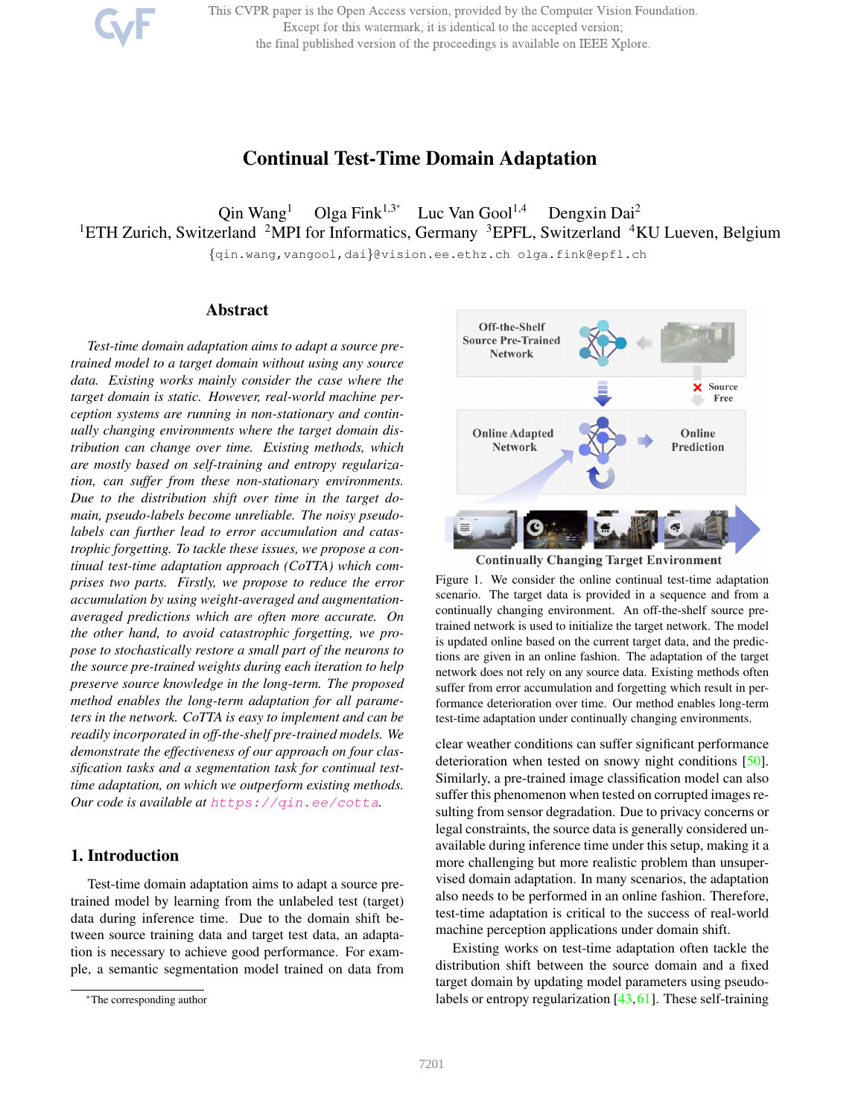This CVPR paper is the Open Access version, provided by the Computer Vision Foundation. Except for this watermark, it is identical to the accepted version; the final published version of the proceedings is available on IEEE Xplore.

# Continual Test-Time Domain Adaptation

 $\text{Qin Wang}^1$  Olga Fink<sup>1,3\*</sup> Luc Van Gool<sup>1,4</sup> Dengxin Dai<sup>2</sup> <sup>1</sup>ETH Zurich, Switzerland <sup>2</sup>MPI for Informatics, Germany <sup>3</sup>EPFL, Switzerland <sup>4</sup>KU Lueven, Belgium

{qin.wang,vangool,dai}@vision.ee.ethz.ch olga.fink@epfl.ch

## Abstract

*Test-time domain adaptation aims to adapt a source pretrained model to a target domain without using any source data. Existing works mainly consider the case where the target domain is static. However, real-world machine perception systems are running in non-stationary and continually changing environments where the target domain distribution can change over time. Existing methods, which are mostly based on self-training and entropy regularization, can suffer from these non-stationary environments. Due to the distribution shift over time in the target domain, pseudo-labels become unreliable. The noisy pseudolabels can further lead to error accumulation and catastrophic forgetting. To tackle these issues, we propose a continual test-time adaptation approach (CoTTA) which comprises two parts. Firstly, we propose to reduce the error accumulation by using weight-averaged and augmentationaveraged predictions which are often more accurate. On the other hand, to avoid catastrophic forgetting, we propose to stochastically restore a small part of the neurons to the source pre-trained weights during each iteration to help preserve source knowledge in the long-term. The proposed method enables the long-term adaptation for all parameters in the network. CoTTA is easy to implement and can be readily incorporated in off-the-shelf pre-trained models. We demonstrate the effectiveness of our approach on four classification tasks and a segmentation task for continual testtime adaptation, on which we outperform existing methods. Our code is available at* https://qin.ee/cotta*.*

### 1. Introduction

Test-time domain adaptation aims to adapt a source pretrained model by learning from the unlabeled test (target) data during inference time. Due to the domain shift between source training data and target test data, an adaptation is necessary to achieve good performance. For example, a semantic segmentation model trained on data from



**Continually Changing Target Environment** 

Figure 1. We consider the online continual test-time adaptation scenario. The target data is provided in a sequence and from a continually changing environment. An off-the-shelf source pretrained network is used to initialize the target network. The model is updated online based on the current target data, and the predictions are given in an online fashion. The adaptation of the target network does not rely on any source data. Existing methods often suffer from error accumulation and forgetting which result in performance deterioration over time. Our method enables long-term test-time adaptation under continually changing environments.

clear weather conditions can suffer significant performance deterioration when tested on snowy night conditions [50]. Similarly, a pre-trained image classification model can also suffer this phenomenon when tested on corrupted images resulting from sensor degradation. Due to privacy concerns or legal constraints, the source data is generally considered unavailable during inference time under this setup, making it a more challenging but more realistic problem than unsupervised domain adaptation. In many scenarios, the adaptation also needs to be performed in an online fashion. Therefore, test-time adaptation is critical to the success of real-world machine perception applications under domain shift.

Existing works on test-time adaptation often tackle the distribution shift between the source domain and a fixed target domain by updating model parameters using pseudolabels or entropy regularization [43,61]. These self-training

<sup>\*</sup>The corresponding author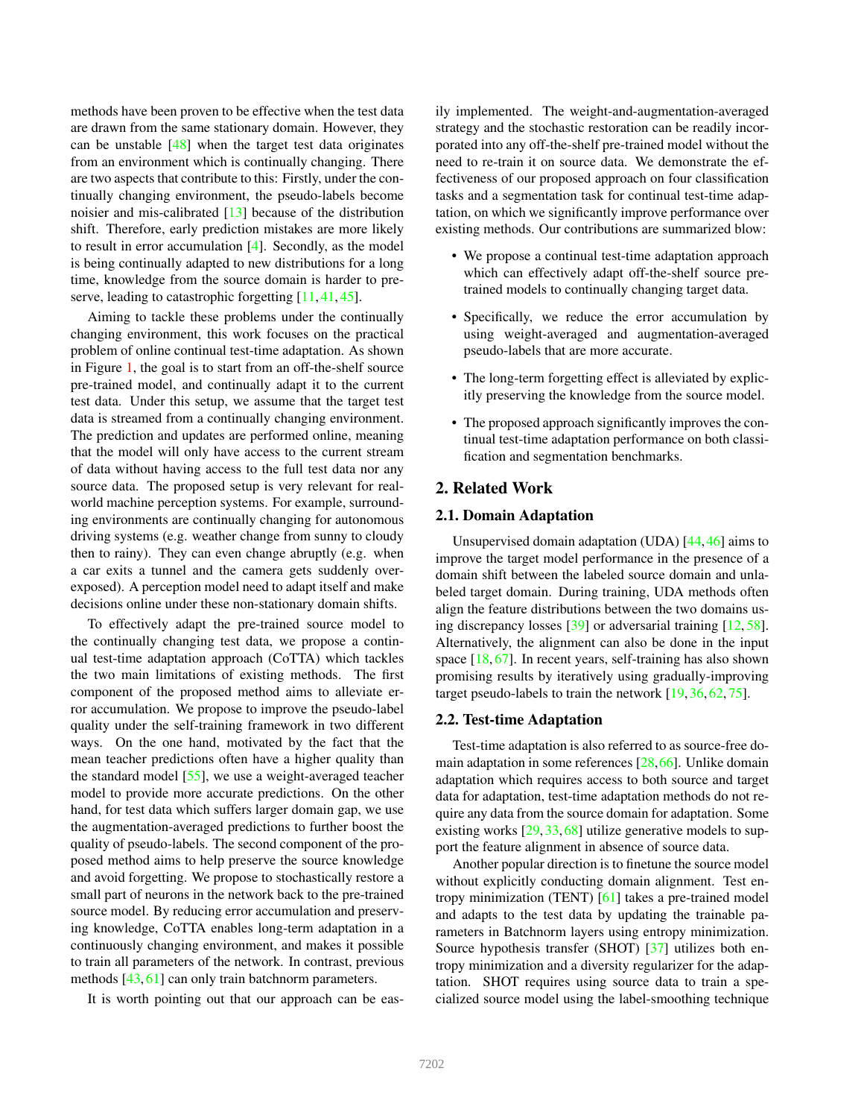methods have been proven to be effective when the test data are drawn from the same stationary domain. However, they can be unstable [48] when the target test data originates from an environment which is continually changing. There are two aspects that contribute to this: Firstly, under the continually changing environment, the pseudo-labels become noisier and mis-calibrated [13] because of the distribution shift. Therefore, early prediction mistakes are more likely to result in error accumulation [4]. Secondly, as the model is being continually adapted to new distributions for a long time, knowledge from the source domain is harder to preserve, leading to catastrophic forgetting [11, 41, 45].

Aiming to tackle these problems under the continually changing environment, this work focuses on the practical problem of online continual test-time adaptation. As shown in Figure 1, the goal is to start from an off-the-shelf source pre-trained model, and continually adapt it to the current test data. Under this setup, we assume that the target test data is streamed from a continually changing environment. The prediction and updates are performed online, meaning that the model will only have access to the current stream of data without having access to the full test data nor any source data. The proposed setup is very relevant for realworld machine perception systems. For example, surrounding environments are continually changing for autonomous driving systems (e.g. weather change from sunny to cloudy then to rainy). They can even change abruptly (e.g. when a car exits a tunnel and the camera gets suddenly overexposed). A perception model need to adapt itself and make decisions online under these non-stationary domain shifts.

To effectively adapt the pre-trained source model to the continually changing test data, we propose a continual test-time adaptation approach (CoTTA) which tackles the two main limitations of existing methods. The first component of the proposed method aims to alleviate error accumulation. We propose to improve the pseudo-label quality under the self-training framework in two different ways. On the one hand, motivated by the fact that the mean teacher predictions often have a higher quality than the standard model [55], we use a weight-averaged teacher model to provide more accurate predictions. On the other hand, for test data which suffers larger domain gap, we use the augmentation-averaged predictions to further boost the quality of pseudo-labels. The second component of the proposed method aims to help preserve the source knowledge and avoid forgetting. We propose to stochastically restore a small part of neurons in the network back to the pre-trained source model. By reducing error accumulation and preserving knowledge, CoTTA enables long-term adaptation in a continuously changing environment, and makes it possible to train all parameters of the network. In contrast, previous methods [43, 61] can only train batchnorm parameters.

It is worth pointing out that our approach can be eas-

ily implemented. The weight-and-augmentation-averaged strategy and the stochastic restoration can be readily incorporated into any off-the-shelf pre-trained model without the need to re-train it on source data. We demonstrate the effectiveness of our proposed approach on four classification tasks and a segmentation task for continual test-time adaptation, on which we significantly improve performance over existing methods. Our contributions are summarized blow:

- We propose a continual test-time adaptation approach which can effectively adapt off-the-shelf source pretrained models to continually changing target data.
- Specifically, we reduce the error accumulation by using weight-averaged and augmentation-averaged pseudo-labels that are more accurate.
- The long-term forgetting effect is alleviated by explicitly preserving the knowledge from the source model.
- The proposed approach significantly improves the continual test-time adaptation performance on both classification and segmentation benchmarks.

### 2. Related Work

#### 2.1. Domain Adaptation

Unsupervised domain adaptation (UDA) [44,46] aims to improve the target model performance in the presence of a domain shift between the labeled source domain and unlabeled target domain. During training, UDA methods often align the feature distributions between the two domains using discrepancy losses [39] or adversarial training [12, 58]. Alternatively, the alignment can also be done in the input space [18, 67]. In recent years, self-training has also shown promising results by iteratively using gradually-improving target pseudo-labels to train the network [19, 36, 62, 75].

#### 2.2. Test-time Adaptation

Test-time adaptation is also referred to as source-free domain adaptation in some references [28,66]. Unlike domain adaptation which requires access to both source and target data for adaptation, test-time adaptation methods do not require any data from the source domain for adaptation. Some existing works [29, 33, 68] utilize generative models to support the feature alignment in absence of source data.

Another popular direction is to finetune the source model without explicitly conducting domain alignment. Test entropy minimization (TENT) [61] takes a pre-trained model and adapts to the test data by updating the trainable parameters in Batchnorm layers using entropy minimization. Source hypothesis transfer (SHOT) [37] utilizes both entropy minimization and a diversity regularizer for the adaptation. SHOT requires using source data to train a specialized source model using the label-smoothing technique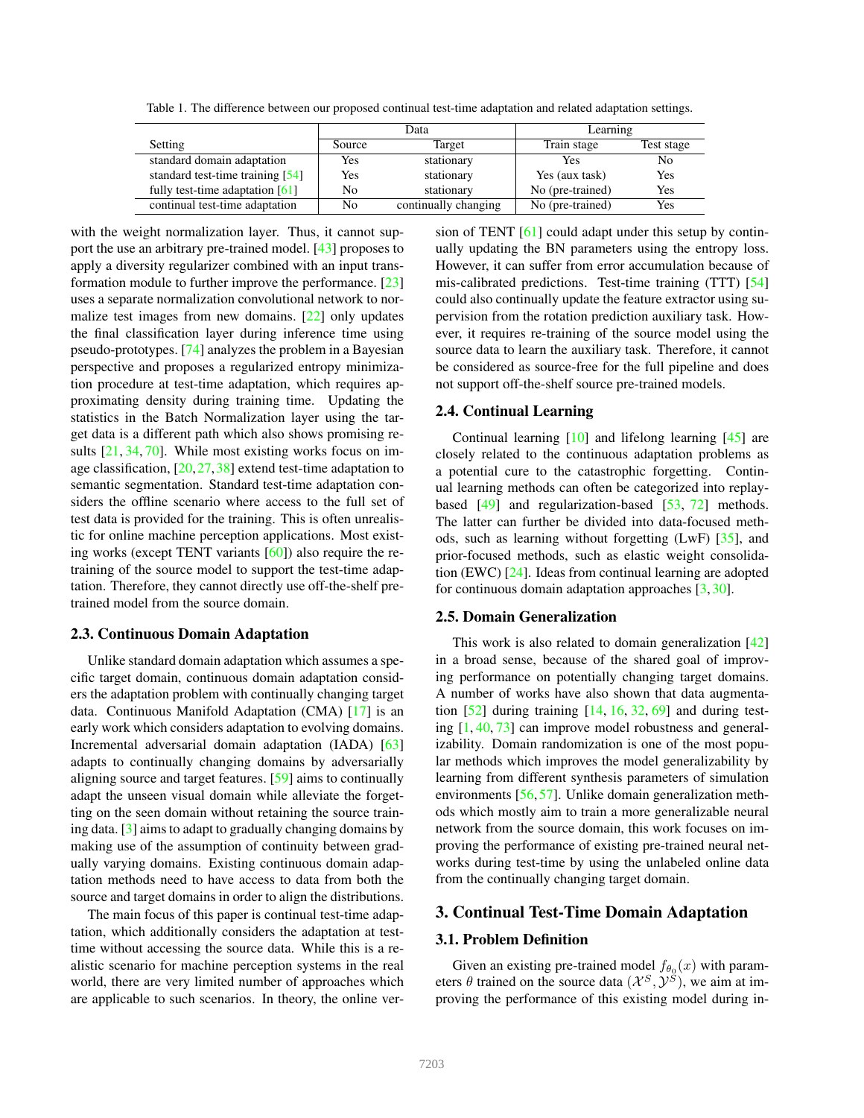|                                   |        | Data                 | Learning         |            |  |  |  |
|-----------------------------------|--------|----------------------|------------------|------------|--|--|--|
| Setting                           | Source | Target               | Train stage      | Test stage |  |  |  |
| standard domain adaptation        | Yes    | stationary           | Yes              | No         |  |  |  |
| standard test-time training [54]  | Yes    | stationary           | Yes (aux task)   | Yes        |  |  |  |
| fully test-time adaptation $[61]$ | No     | stationary           | No (pre-trained) | Yes        |  |  |  |
| continual test-time adaptation    | No     | continually changing | No (pre-trained) | Yes        |  |  |  |

Table 1. The difference between our proposed continual test-time adaptation and related adaptation settings.

with the weight normalization layer. Thus, it cannot support the use an arbitrary pre-trained model. [43] proposes to apply a diversity regularizer combined with an input transformation module to further improve the performance. [23] uses a separate normalization convolutional network to normalize test images from new domains. [22] only updates the final classification layer during inference time using pseudo-prototypes. [74] analyzes the problem in a Bayesian perspective and proposes a regularized entropy minimization procedure at test-time adaptation, which requires approximating density during training time. Updating the statistics in the Batch Normalization layer using the target data is a different path which also shows promising results [21, 34, 70]. While most existing works focus on image classification,  $[20, 27, 38]$  extend test-time adaptation to semantic segmentation. Standard test-time adaptation considers the offline scenario where access to the full set of test data is provided for the training. This is often unrealistic for online machine perception applications. Most existing works (except TENT variants [60]) also require the retraining of the source model to support the test-time adaptation. Therefore, they cannot directly use off-the-shelf pretrained model from the source domain.

#### 2.3. Continuous Domain Adaptation

Unlike standard domain adaptation which assumes a specific target domain, continuous domain adaptation considers the adaptation problem with continually changing target data. Continuous Manifold Adaptation (CMA) [17] is an early work which considers adaptation to evolving domains. Incremental adversarial domain adaptation (IADA) [63] adapts to continually changing domains by adversarially aligning source and target features. [59] aims to continually adapt the unseen visual domain while alleviate the forgetting on the seen domain without retaining the source training data. [3] aims to adapt to gradually changing domains by making use of the assumption of continuity between gradually varying domains. Existing continuous domain adaptation methods need to have access to data from both the source and target domains in order to align the distributions.

The main focus of this paper is continual test-time adaptation, which additionally considers the adaptation at testtime without accessing the source data. While this is a realistic scenario for machine perception systems in the real world, there are very limited number of approaches which are applicable to such scenarios. In theory, the online version of TENT [61] could adapt under this setup by continually updating the BN parameters using the entropy loss. However, it can suffer from error accumulation because of mis-calibrated predictions. Test-time training (TTT) [54] could also continually update the feature extractor using supervision from the rotation prediction auxiliary task. However, it requires re-training of the source model using the source data to learn the auxiliary task. Therefore, it cannot be considered as source-free for the full pipeline and does not support off-the-shelf source pre-trained models.

#### 2.4. Continual Learning

Continual learning [10] and lifelong learning [45] are closely related to the continuous adaptation problems as a potential cure to the catastrophic forgetting. Continual learning methods can often be categorized into replaybased [49] and regularization-based [53, 72] methods. The latter can further be divided into data-focused methods, such as learning without forgetting (LwF) [35], and prior-focused methods, such as elastic weight consolidation (EWC) [24]. Ideas from continual learning are adopted for continuous domain adaptation approaches [3, 30].

#### 2.5. Domain Generalization

This work is also related to domain generalization [42] in a broad sense, because of the shared goal of improving performance on potentially changing target domains. A number of works have also shown that data augmentation  $[52]$  during training  $[14, 16, 32, 69]$  and during testing [1, 40, 73] can improve model robustness and generalizability. Domain randomization is one of the most popular methods which improves the model generalizability by learning from different synthesis parameters of simulation environments [56, 57]. Unlike domain generalization methods which mostly aim to train a more generalizable neural network from the source domain, this work focuses on improving the performance of existing pre-trained neural networks during test-time by using the unlabeled online data from the continually changing target domain.

### 3. Continual Test-Time Domain Adaptation

### 3.1. Problem Definition

Given an existing pre-trained model  $f_{\theta_0}(x)$  with parameters  $\theta$  trained on the source data  $(\mathcal{X}^S, \mathcal{Y}^S)$ , we aim at improving the performance of this existing model during in-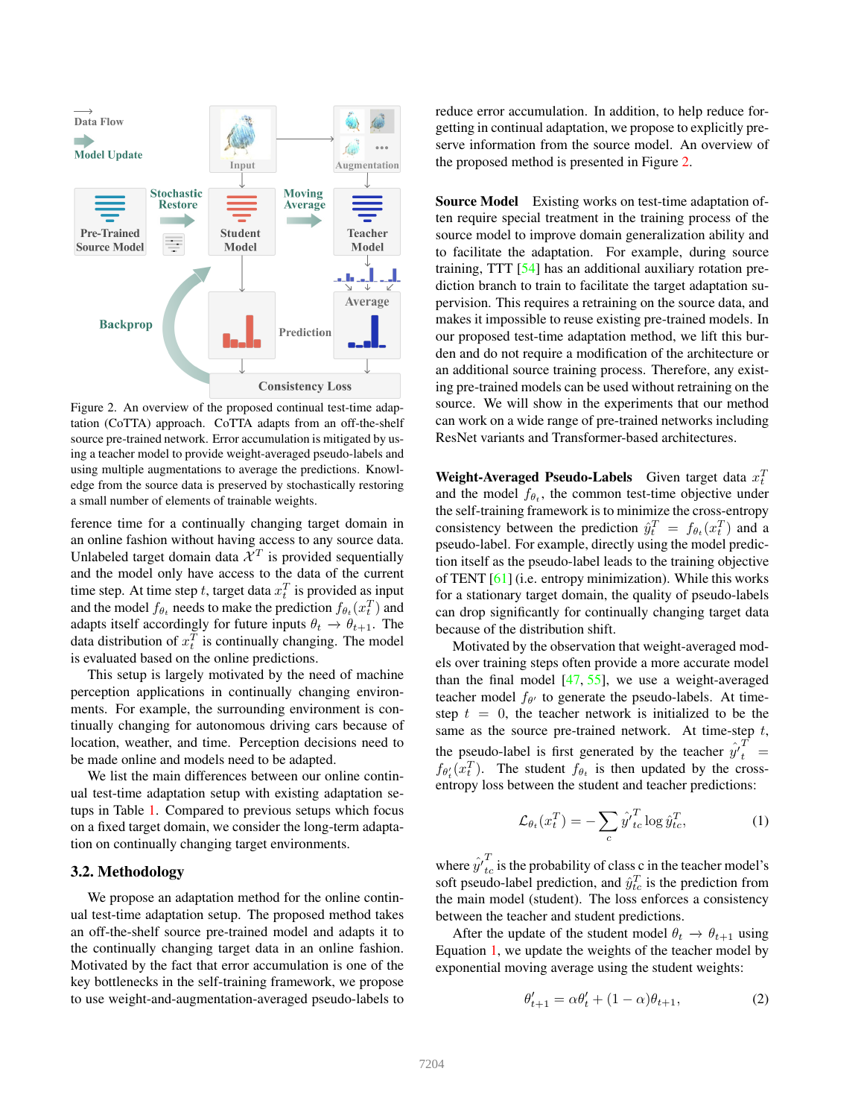

Figure 2. An overview of the proposed continual test-time adaptation (CoTTA) approach. CoTTA adapts from an off-the-shelf source pre-trained network. Error accumulation is mitigated by using a teacher model to provide weight-averaged pseudo-labels and using multiple augmentations to average the predictions. Knowledge from the source data is preserved by stochastically restoring a small number of elements of trainable weights.

ference time for a continually changing target domain in an online fashion without having access to any source data. Unlabeled target domain data  $\mathcal{X}^T$  is provided sequentially and the model only have access to the data of the current time step. At time step t, target data  $x_t^T$  is provided as input and the model  $f_{\theta_t}$  needs to make the prediction  $f_{\theta_t}(x_t^T)$  and adapts itself accordingly for future inputs  $\theta_t \to \theta_{t+1}$ . The data distribution of  $x_t^T$  is continually changing. The model is evaluated based on the online predictions.

This setup is largely motivated by the need of machine perception applications in continually changing environments. For example, the surrounding environment is continually changing for autonomous driving cars because of location, weather, and time. Perception decisions need to be made online and models need to be adapted.

We list the main differences between our online continual test-time adaptation setup with existing adaptation setups in Table 1. Compared to previous setups which focus on a fixed target domain, we consider the long-term adaptation on continually changing target environments.

#### 3.2. Methodology

We propose an adaptation method for the online continual test-time adaptation setup. The proposed method takes an off-the-shelf source pre-trained model and adapts it to the continually changing target data in an online fashion. Motivated by the fact that error accumulation is one of the key bottlenecks in the self-training framework, we propose to use weight-and-augmentation-averaged pseudo-labels to

reduce error accumulation. In addition, to help reduce forgetting in continual adaptation, we propose to explicitly preserve information from the source model. An overview of the proposed method is presented in Figure 2.

Source Model Existing works on test-time adaptation often require special treatment in the training process of the source model to improve domain generalization ability and to facilitate the adaptation. For example, during source training, TTT [54] has an additional auxiliary rotation prediction branch to train to facilitate the target adaptation supervision. This requires a retraining on the source data, and makes it impossible to reuse existing pre-trained models. In our proposed test-time adaptation method, we lift this burden and do not require a modification of the architecture or an additional source training process. Therefore, any existing pre-trained models can be used without retraining on the source. We will show in the experiments that our method can work on a wide range of pre-trained networks including ResNet variants and Transformer-based architectures.

Weight-Averaged Pseudo-Labels Given target data  $x_t^T$ and the model  $f_{\theta_t}$ , the common test-time objective under the self-training framework is to minimize the cross-entropy consistency between the prediction  $\hat{y}_t^T = f_{\theta_t}(x_t^T)$  and a pseudo-label. For example, directly using the model prediction itself as the pseudo-label leads to the training objective of TENT [61] (i.e. entropy minimization). While this works for a stationary target domain, the quality of pseudo-labels can drop significantly for continually changing target data because of the distribution shift.

Motivated by the observation that weight-averaged models over training steps often provide a more accurate model than the final model  $[47, 55]$ , we use a weight-averaged teacher model  $f_{\theta'}$  to generate the pseudo-labels. At timestep  $t = 0$ , the teacher network is initialized to be the same as the source pre-trained network. At time-step  $t$ , the pseudo-label is first generated by the teacher  $\hat{y'}_t^T =$  $f_{\theta'_t}(x_t^T)$ . The student  $f_{\theta_t}$  is then updated by the crossentropy loss between the student and teacher predictions:

$$
\mathcal{L}_{\theta_t}(x_t^T) = -\sum_c \hat{y'}_{tc}^T \log \hat{y}_{tc}^T,\tag{1}
$$

where  $\hat{y}^T_{tc}$  is the probability of class c in the teacher model's soft pseudo-label prediction, and  $\hat{y}_{tc}^T$  is the prediction from the main model (student). The loss enforces a consistency between the teacher and student predictions.

After the update of the student model  $\theta_t \rightarrow \theta_{t+1}$  using Equation 1, we update the weights of the teacher model by exponential moving average using the student weights:

$$
\theta'_{t+1} = \alpha \theta'_t + (1 - \alpha)\theta_{t+1},\tag{2}
$$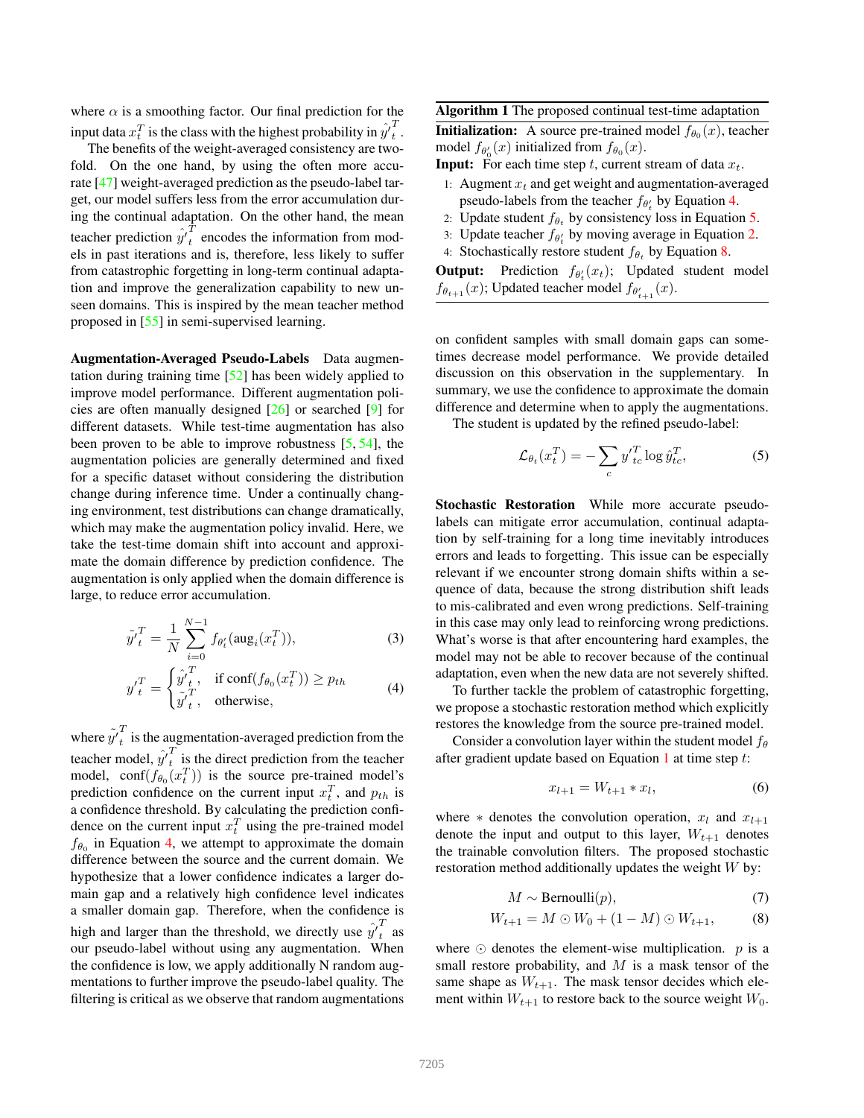where  $\alpha$  is a smoothing factor. Our final prediction for the input data  $x_t^T$  is the class with the highest probability in  $\hat{y'}_t^T$  $\frac{1}{t}$ .

The benefits of the weight-averaged consistency are twofold. On the one hand, by using the often more accurate [47] weight-averaged prediction as the pseudo-label target, our model suffers less from the error accumulation during the continual adaptation. On the other hand, the mean teacher prediction  $\hat{y'}_t^T$  $\tau_t$  encodes the information from models in past iterations and is, therefore, less likely to suffer from catastrophic forgetting in long-term continual adaptation and improve the generalization capability to new unseen domains. This is inspired by the mean teacher method proposed in [55] in semi-supervised learning.

Augmentation-Averaged Pseudo-Labels Data augmentation during training time [52] has been widely applied to improve model performance. Different augmentation policies are often manually designed [26] or searched [9] for different datasets. While test-time augmentation has also been proven to be able to improve robustness [5, 54], the augmentation policies are generally determined and fixed for a specific dataset without considering the distribution change during inference time. Under a continually changing environment, test distributions can change dramatically, which may make the augmentation policy invalid. Here, we take the test-time domain shift into account and approximate the domain difference by prediction confidence. The augmentation is only applied when the domain difference is large, to reduce error accumulation.

$$
\tilde{y'}_t^T = \frac{1}{N} \sum_{i=0}^{N-1} f_{\theta'_t}(\text{aug}_i(x_t^T)),
$$
\n(3)

$$
y'^T_t = \begin{cases} \hat{y}'^T_t, & \text{if } \text{conf}(f_{\theta_0}(x^T_t)) \ge p_{th} \\ \tilde{y}'^T_t, & \text{otherwise,} \end{cases}
$$
 (4)

where  $\tilde{y'}_t^T$  $\tau_t$  is the augmentation-averaged prediction from the teacher model,  $\hat{y'}_t^T$  $\frac{1}{t}$  is the direct prediction from the teacher model, conf $(f_{\theta_0}(x_t^T))$  is the source pre-trained model's prediction confidence on the current input  $x_t^T$ , and  $p_{th}$  is a confidence threshold. By calculating the prediction confidence on the current input  $x_t^T$  using the pre-trained model  $f_{\theta_0}$  in Equation 4, we attempt to approximate the domain difference between the source and the current domain. We hypothesize that a lower confidence indicates a larger domain gap and a relatively high confidence level indicates a smaller domain gap. Therefore, when the confidence is high and larger than the threshold, we directly use  $\hat{y'}_t^T$  $\int_{t}$  as our pseudo-label without using any augmentation. When the confidence is low, we apply additionally N random augmentations to further improve the pseudo-label quality. The filtering is critical as we observe that random augmentations

Algorithm 1 The proposed continual test-time adaptation

**Initialization:** A source pre-trained model  $f_{\theta_0}(x)$ , teacher model  $f_{\theta'_0}(x)$  initialized from  $f_{\theta_0}(x)$ .

**Input:** For each time step t, current stream of data  $x_t$ .

- 1: Augment  $x_t$  and get weight and augmentation-averaged pseudo-labels from the teacher  $f_{\theta'_t}$  by Equation 4.
- 2: Update student  $f_{\theta_t}$  by consistency loss in Equation 5.
- 3: Update teacher  $f_{\theta'_t}$  by moving average in Equation 2.
- 4: Stochastically restore student  $f_{\theta_t}$  by Equation 8.

**Output:** Prediction  $f_{\theta'_{t}}(x_{t})$ ; Updated student model  $f_{\theta_{t+1}}(x)$ ; Updated teacher model  $f_{\theta'_{t+1}}(x)$ .

on confident samples with small domain gaps can sometimes decrease model performance. We provide detailed discussion on this observation in the supplementary. In summary, we use the confidence to approximate the domain difference and determine when to apply the augmentations.

The student is updated by the refined pseudo-label:

$$
\mathcal{L}_{\theta_t}(x_t^T) = -\sum_c y_{tc}^T \log \hat{y}_{tc}^T,\tag{5}
$$

Stochastic Restoration While more accurate pseudolabels can mitigate error accumulation, continual adaptation by self-training for a long time inevitably introduces errors and leads to forgetting. This issue can be especially relevant if we encounter strong domain shifts within a sequence of data, because the strong distribution shift leads to mis-calibrated and even wrong predictions. Self-training in this case may only lead to reinforcing wrong predictions. What's worse is that after encountering hard examples, the model may not be able to recover because of the continual adaptation, even when the new data are not severely shifted.

To further tackle the problem of catastrophic forgetting, we propose a stochastic restoration method which explicitly restores the knowledge from the source pre-trained model.

Consider a convolution layer within the student model  $f_{\theta}$ after gradient update based on Equation 1 at time step t:

$$
x_{l+1} = W_{t+1} * x_l,
$$
 (6)

where  $*$  denotes the convolution operation,  $x_l$  and  $x_{l+1}$ denote the input and output to this layer,  $W_{t+1}$  denotes the trainable convolution filters. The proposed stochastic restoration method additionally updates the weight W by:

$$
M \sim \text{Bernoulli}(p),\tag{7}
$$

$$
W_{t+1} = M \odot W_0 + (1 - M) \odot W_{t+1}, \tag{8}
$$

where  $\odot$  denotes the element-wise multiplication. p is a small restore probability, and  $M$  is a mask tensor of the same shape as  $W_{t+1}$ . The mask tensor decides which element within  $W_{t+1}$  to restore back to the source weight  $W_0$ .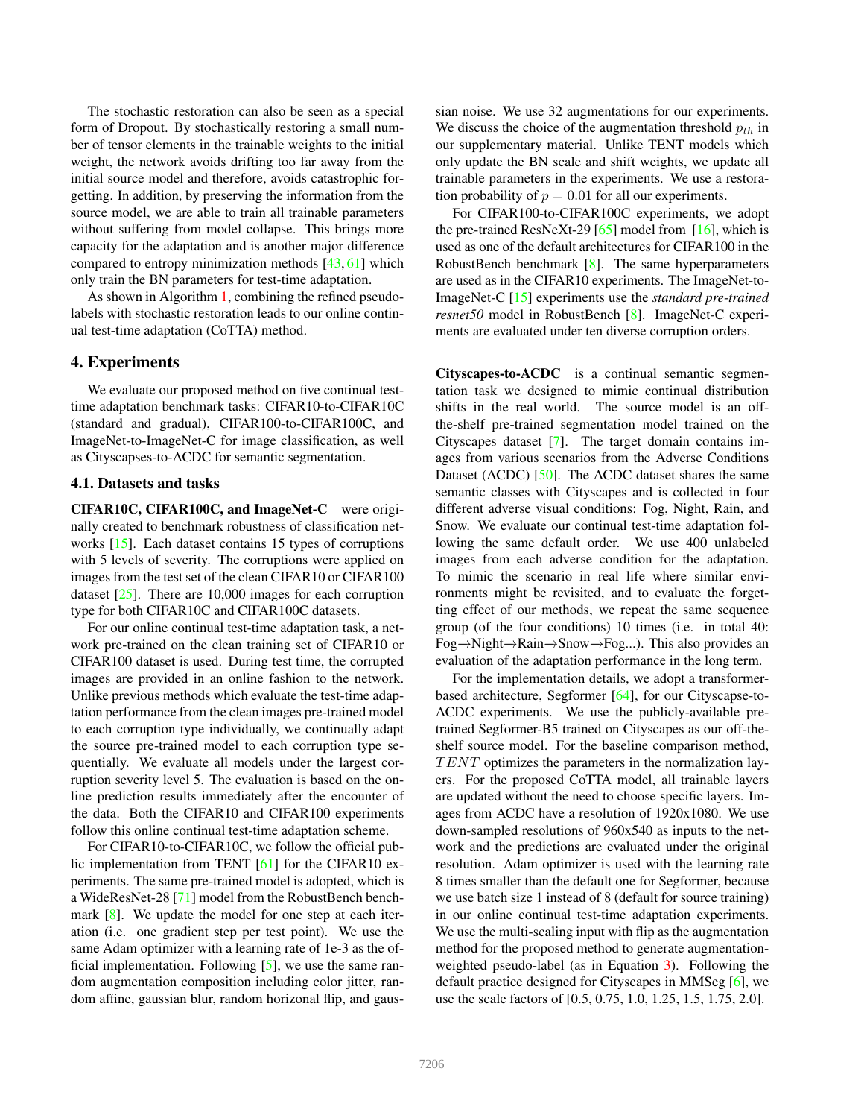The stochastic restoration can also be seen as a special form of Dropout. By stochastically restoring a small number of tensor elements in the trainable weights to the initial weight, the network avoids drifting too far away from the initial source model and therefore, avoids catastrophic forgetting. In addition, by preserving the information from the source model, we are able to train all trainable parameters without suffering from model collapse. This brings more capacity for the adaptation and is another major difference compared to entropy minimization methods [43, 61] which only train the BN parameters for test-time adaptation.

As shown in Algorithm 1, combining the refined pseudolabels with stochastic restoration leads to our online continual test-time adaptation (CoTTA) method.

### 4. Experiments

We evaluate our proposed method on five continual testtime adaptation benchmark tasks: CIFAR10-to-CIFAR10C (standard and gradual), CIFAR100-to-CIFAR100C, and ImageNet-to-ImageNet-C for image classification, as well as Cityscapses-to-ACDC for semantic segmentation.

#### 4.1. Datasets and tasks

CIFAR10C, CIFAR100C, and ImageNet-C were originally created to benchmark robustness of classification networks [15]. Each dataset contains 15 types of corruptions with 5 levels of severity. The corruptions were applied on images from the test set of the clean CIFAR10 or CIFAR100 dataset [25]. There are 10,000 images for each corruption type for both CIFAR10C and CIFAR100C datasets.

For our online continual test-time adaptation task, a network pre-trained on the clean training set of CIFAR10 or CIFAR100 dataset is used. During test time, the corrupted images are provided in an online fashion to the network. Unlike previous methods which evaluate the test-time adaptation performance from the clean images pre-trained model to each corruption type individually, we continually adapt the source pre-trained model to each corruption type sequentially. We evaluate all models under the largest corruption severity level 5. The evaluation is based on the online prediction results immediately after the encounter of the data. Both the CIFAR10 and CIFAR100 experiments follow this online continual test-time adaptation scheme.

For CIFAR10-to-CIFAR10C, we follow the official public implementation from TENT [61] for the CIFAR10 experiments. The same pre-trained model is adopted, which is a WideResNet-28 [71] model from the RobustBench benchmark  $[8]$ . We update the model for one step at each iteration (i.e. one gradient step per test point). We use the same Adam optimizer with a learning rate of 1e-3 as the official implementation. Following  $[5]$ , we use the same random augmentation composition including color jitter, random affine, gaussian blur, random horizonal flip, and gaussian noise. We use 32 augmentations for our experiments. We discuss the choice of the augmentation threshold  $p_{th}$  in our supplementary material. Unlike TENT models which only update the BN scale and shift weights, we update all trainable parameters in the experiments. We use a restoration probability of  $p = 0.01$  for all our experiments.

For CIFAR100-to-CIFAR100C experiments, we adopt the pre-trained ResNeXt-29  $[65]$  model from  $[16]$ , which is used as one of the default architectures for CIFAR100 in the RobustBench benchmark  $[8]$ . The same hyperparameters are used as in the CIFAR10 experiments. The ImageNet-to-ImageNet-C [15] experiments use the *standard pre-trained resnet50* model in RobustBench [8]. ImageNet-C experiments are evaluated under ten diverse corruption orders.

Cityscapes-to-ACDC is a continual semantic segmentation task we designed to mimic continual distribution shifts in the real world. The source model is an offthe-shelf pre-trained segmentation model trained on the Cityscapes dataset [7]. The target domain contains images from various scenarios from the Adverse Conditions Dataset (ACDC) [50]. The ACDC dataset shares the same semantic classes with Cityscapes and is collected in four different adverse visual conditions: Fog, Night, Rain, and Snow. We evaluate our continual test-time adaptation following the same default order. We use 400 unlabeled images from each adverse condition for the adaptation. To mimic the scenario in real life where similar environments might be revisited, and to evaluate the forgetting effect of our methods, we repeat the same sequence group (of the four conditions) 10 times (i.e. in total 40: Fog−→Night−→Rain−→Snow−→Fog...). This also provides an evaluation of the adaptation performance in the long term.

For the implementation details, we adopt a transformerbased architecture, Segformer [64], for our Cityscapse-to-ACDC experiments. We use the publicly-available pretrained Segformer-B5 trained on Cityscapes as our off-theshelf source model. For the baseline comparison method,  $TENT$  optimizes the parameters in the normalization layers. For the proposed CoTTA model, all trainable layers are updated without the need to choose specific layers. Images from ACDC have a resolution of 1920x1080. We use down-sampled resolutions of 960x540 as inputs to the network and the predictions are evaluated under the original resolution. Adam optimizer is used with the learning rate 8 times smaller than the default one for Segformer, because we use batch size 1 instead of 8 (default for source training) in our online continual test-time adaptation experiments. We use the multi-scaling input with flip as the augmentation method for the proposed method to generate augmentationweighted pseudo-label (as in Equation 3). Following the default practice designed for Cityscapes in MMSeg [6], we use the scale factors of [0.5, 0.75, 1.0, 1.25, 1.5, 1.75, 2.0].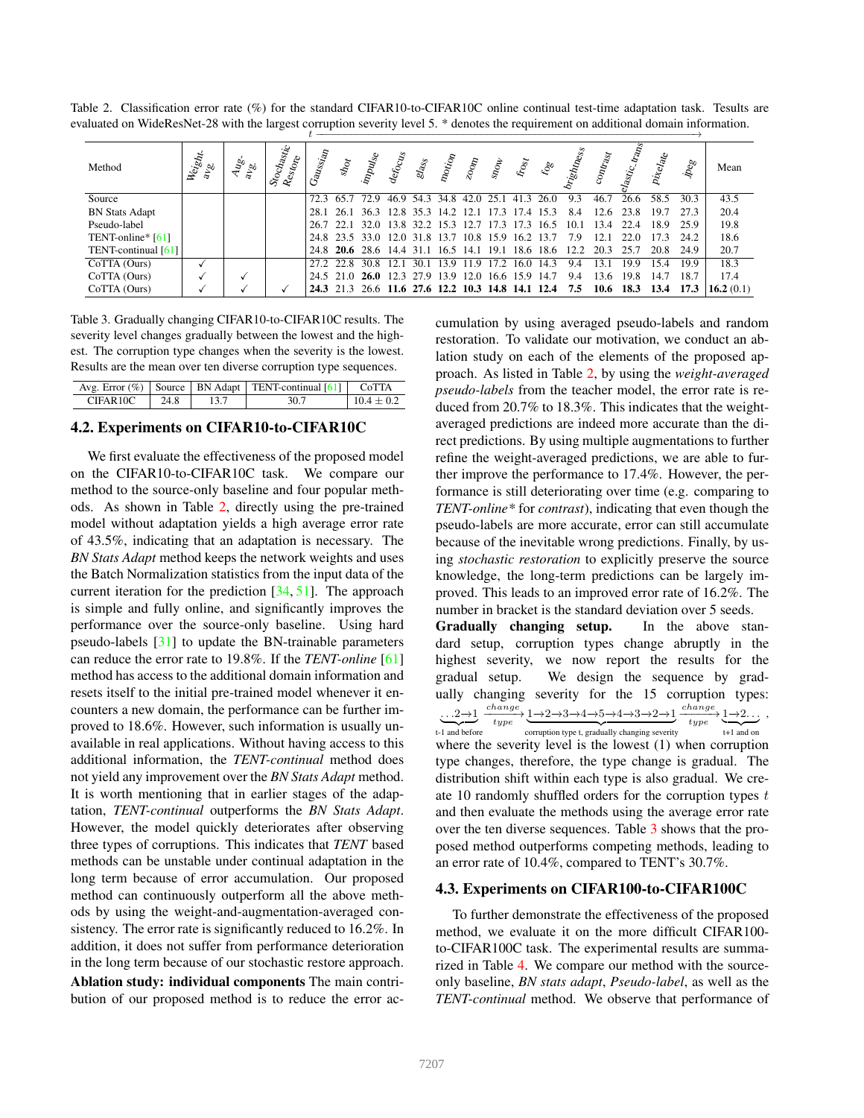Table 2. Classification error rate (%) for the standard CIFAR10-to-CIFAR10C online continual test-time adaptation task. Tesults are evaluated on WideResNet-28 with the largest corruption severity level 5. \* denotes the requirement on additional domain information.

| Method                | Weight.<br>a <sub>Vo</sub> | 4g <sub>o</sub><br>$a_{Vg}$ | Stochastic<br>$R_{c_{S}}{}_{to_{T_{\rm C}}}$ | Gaussian | shot<br>inpulse |                                                   | defocus | $sl_{\rm{ag}}$ | $n_{O_{\mathcal{U}_{Op}}}$ | $z_{0\sigma_{\!R}}$ | $s_{\mathcal{O}_{\mathcal{W}}}$ | $k_{\mathrm{log}}$ | ್ಧಿ                                                    | ightor. | contrast | Jastic | Pixel <sub>ate</sub> | peg  | Mean         |
|-----------------------|----------------------------|-----------------------------|----------------------------------------------|----------|-----------------|---------------------------------------------------|---------|----------------|----------------------------|---------------------|---------------------------------|--------------------|--------------------------------------------------------|---------|----------|--------|----------------------|------|--------------|
| Source                |                            |                             |                                              |          | 72.3 65.7 72.9  |                                                   |         |                | 46.9 54.3 34.8 42.0 25.1   |                     |                                 | 41.3               | 26.0                                                   | 9.3     | 46.7     | 26.6   | 58.5                 | 30.3 | 43.5         |
| <b>BN Stats Adapt</b> |                            |                             |                                              |          |                 | 28.1 26.1 36.3 12.8 35.3 14.2 12.1 17.3 17.4 15.3 |         |                |                            |                     |                                 |                    |                                                        | 84      | 12.6     | 23.8   | 197                  | 273  | 20.4         |
| Pseudo-label          |                            |                             |                                              |          |                 | 26.7 22.1 32.0 13.8 32.2 15.3 12.7 17.3 17.3 16.5 |         |                |                            |                     |                                 |                    |                                                        | 10.1    | 13.4     | 22.4   | 18.9                 | 25.9 | 19.8         |
| TENT-online* $[61]$   |                            |                             |                                              |          |                 | 24.8 23.5 33.0 12.0 31.8 13.7 10.8 15.9 16.2 13.7 |         |                |                            |                     |                                 |                    |                                                        | 7.9     | 12.1     | 22.0   | 173                  | 24.2 | 18.6         |
| TENT-continual [61]   |                            |                             |                                              |          |                 |                                                   |         |                |                            |                     |                                 |                    | 24.8 20.6 28.6 14.4 31.1 16.5 14.1 19.1 18.6 18.6 12.2 |         | 20.3     | 25.7   | 20.8                 | 24.9 | 20.7         |
| CoTTA (Ours)          |                            |                             |                                              |          | 27 2 22 8       | 30 S                                              | 12.1    | 30.1           | 139 119 172                |                     |                                 | 160                | 143                                                    | 9.4     | 13.1     | 199    | 154                  | 19.9 | 18.3         |
| CoTTA (Ours)          |                            |                             |                                              |          |                 | 24.5 21.0 26.0 12.3 27.9 13.9 12.0 16.6 15.9 14.7 |         |                |                            |                     |                                 |                    |                                                        | 9.4     | 13.6     | 19.8   | 14.7                 | 18.7 | 17.4         |
| CoTTA (Ours)          |                            |                             |                                              |          |                 | 24.3 21.3 26.6 11.6 27.6 12.2 10.3 14.8 14.1 12.4 |         |                |                            |                     |                                 |                    |                                                        | 7.5     | 10.6     | 18.3   | 13.4                 | 17.3 | 16.2 $(0.1)$ |

Table 3. Gradually changing CIFAR10-to-CIFAR10C results. The severity level changes gradually between the lowest and the highest. The corruption type changes when the severity is the lowest. Results are the mean over ten diverse corruption type sequences.

|          |      | Avg. Error $(\%)$   Source   BN Adapt   TENT-continual [61]   CoTTA |            |
|----------|------|---------------------------------------------------------------------|------------|
| CIFAR10C | 24.8 |                                                                     | $104 + 02$ |

#### 4.2. Experiments on CIFAR10-to-CIFAR10C

We first evaluate the effectiveness of the proposed model on the CIFAR10-to-CIFAR10C task. We compare our method to the source-only baseline and four popular methods. As shown in Table 2, directly using the pre-trained model without adaptation yields a high average error rate of 43.5%, indicating that an adaptation is necessary. The *BN Stats Adapt* method keeps the network weights and uses the Batch Normalization statistics from the input data of the current iteration for the prediction [34, 51]. The approach is simple and fully online, and significantly improves the performance over the source-only baseline. Using hard pseudo-labels [31] to update the BN-trainable parameters can reduce the error rate to 19.8%. If the *TENT-online* [61] method has access to the additional domain information and resets itself to the initial pre-trained model whenever it encounters a new domain, the performance can be further improved to 18.6%. However, such information is usually unavailable in real applications. Without having access to this additional information, the *TENT-continual* method does not yield any improvement over the *BN Stats Adapt* method. It is worth mentioning that in earlier stages of the adaptation, *TENT-continual* outperforms the *BN Stats Adapt*. However, the model quickly deteriorates after observing three types of corruptions. This indicates that *TENT* based methods can be unstable under continual adaptation in the long term because of error accumulation. Our proposed method can continuously outperform all the above methods by using the weight-and-augmentation-averaged consistency. The error rate is significantly reduced to 16.2%. In addition, it does not suffer from performance deterioration in the long term because of our stochastic restore approach. Ablation study: individual components The main contribution of our proposed method is to reduce the error accumulation by using averaged pseudo-labels and random restoration. To validate our motivation, we conduct an ablation study on each of the elements of the proposed approach. As listed in Table 2, by using the *weight-averaged pseudo-labels* from the teacher model, the error rate is reduced from 20.7% to 18.3%. This indicates that the weightaveraged predictions are indeed more accurate than the direct predictions. By using multiple augmentations to further refine the weight-averaged predictions, we are able to further improve the performance to 17.4%. However, the performance is still deteriorating over time (e.g. comparing to *TENT-online\** for *contrast*), indicating that even though the pseudo-labels are more accurate, error can still accumulate because of the inevitable wrong predictions. Finally, by using *stochastic restoration* to explicitly preserve the source knowledge, the long-term predictions can be largely improved. This leads to an improved error rate of 16.2%. The number in bracket is the standard deviation over 5 seeds. Gradually changing setup. In the above standard setup, corruption types change abruptly in the highest severity, we now report the results for the gradual setup. We design the sequence by gradually changing severity for the 15 corruption types: . . .2−→1  $\frac{change}{type} \underbrace{1\rightarrow2\rightarrow3\rightarrow4\rightarrow5\rightarrow4\rightarrow3\rightarrow2\rightarrow1}_{4 type} \underbrace{change}_{type} \underbrace{1\rightarrow2\cdots}_{1}$ ,

 $t-1$  and before corruption type t, gradually changing severity  $t+1$  and on where the severity level is the lowest (1) when corruption type changes, therefore, the type change is gradual. The distribution shift within each type is also gradual. We create 10 randomly shuffled orders for the corruption types t and then evaluate the methods using the average error rate over the ten diverse sequences. Table 3 shows that the proposed method outperforms competing methods, leading to an error rate of 10.4%, compared to TENT's 30.7%.

### 4.3. Experiments on CIFAR100-to-CIFAR100C

To further demonstrate the effectiveness of the proposed method, we evaluate it on the more difficult CIFAR100 to-CIFAR100C task. The experimental results are summarized in Table 4. We compare our method with the sourceonly baseline, *BN stats adapt*, *Pseudo-label*, as well as the *TENT-continual* method. We observe that performance of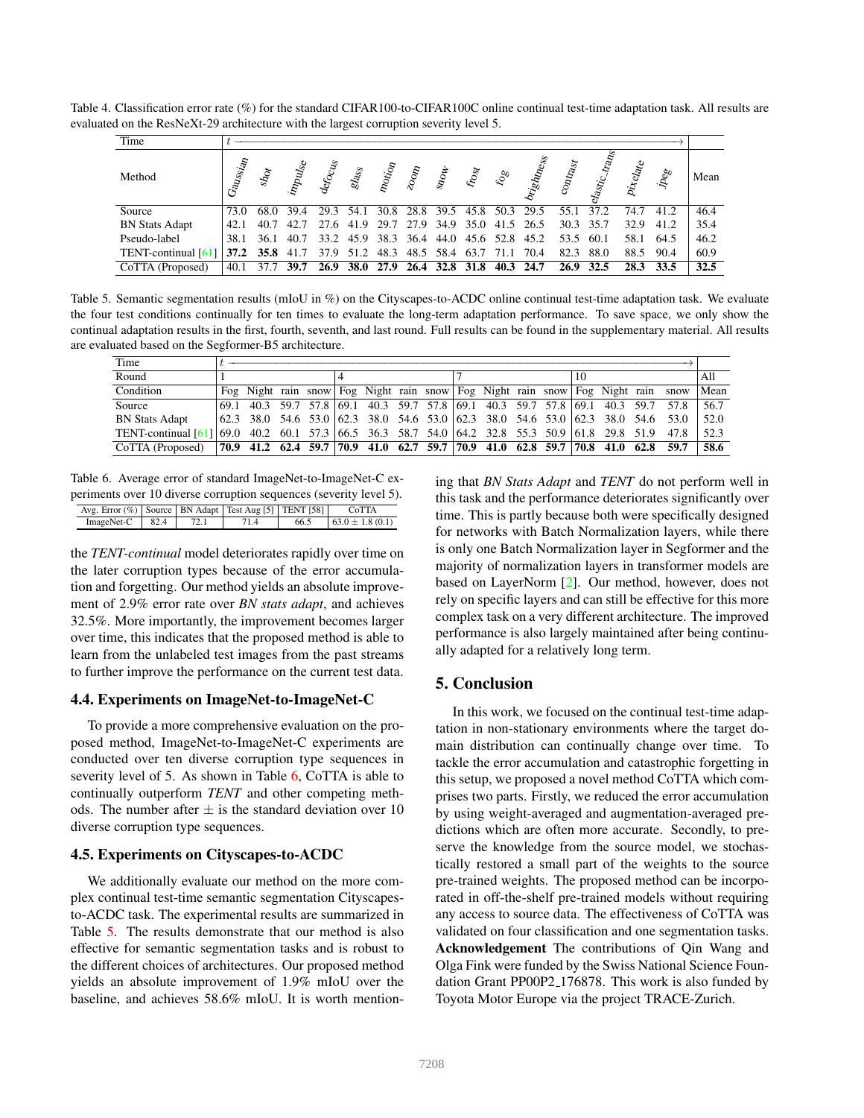Table 4. Classification error rate (%) for the standard CIFAR100-to-CIFAR100C online continual test-time adaptation task. All results are evaluated on the ResNeXt-29 architecture with the largest corruption severity level 5.

| Time                  |          |             |                                                   |             |                             |         |           |                                               |                    |      |                                         |                          |           |                      |                       |      |
|-----------------------|----------|-------------|---------------------------------------------------|-------------|-----------------------------|---------|-----------|-----------------------------------------------|--------------------|------|-----------------------------------------|--------------------------|-----------|----------------------|-----------------------|------|
| Method                | Gaussian | $s_{\rm k}$ | inpulse                                           |             | $\mathit{sla}_\mathit{S_S}$ | $n_{O}$ | $z_{0q}$  | $s_{\mathcal{D}_{\mathcal{O}_{\mathcal{V}}}}$ | $\kappa_{\rm Oyr}$ | ್ಧಿ  | brightness                              | $\mathbf{^{copt}_{48f}}$ | ∽<br>lig  | Pixel <sub>ate</sub> | $\dot{\rho}_{\rm cg}$ | Mean |
| Source                | 73.O     |             | 68.0 39.4                                         |             | 29.3 54.1                   | 30.8    |           |                                               |                    |      | 28.8 39.5 45.8 50.3 29.5                |                          | 55.1 37.2 | 74.7                 | 41.2                  | 46.4 |
| <b>BN Stats Adapt</b> | 42.1     | 40.7        | 42.7                                              |             |                             |         |           |                                               |                    |      | 27.6 41.9 29.7 27.9 34.9 35.0 41.5 26.5 |                          | 30.3 35.7 | 32.9                 | 41.2                  | 35.4 |
| Pseudo-label          | 38.1     |             | 36.1 40.7                                         |             |                             |         |           |                                               |                    |      | 33.2 45.9 38.3 36.4 44.0 45.6 52.8 45.2 | 53.5                     | 60.1      | 58.1                 | 64.5                  | 46.2 |
| TENT-continual [61]   |          |             | 37.2 35.8 41.7 37.9 51.2 48.3 48.5 58.4 63.7 71.1 |             |                             |         |           |                                               |                    |      | 70.4                                    | 82.3                     | 88.0      | 88.5                 | 90.4                  | 60.9 |
| CoTTA (Proposed)      | 40.1     |             | 39.7                                              | <b>26.9</b> | <b>38.0</b>                 | 27.9    | 26.4 32.8 |                                               | 31.8               | 40.3 | 24.7                                    | 26.9                     | 32.5      | 28.3                 | 33.5                  | 32.5 |

Table 5. Semantic segmentation results (mIoU in %) on the Cityscapes-to-ACDC online continual test-time adaptation task. We evaluate the four test conditions continually for ten times to evaluate the long-term adaptation performance. To save space, we only show the continual adaptation results in the first, fourth, seventh, and last round. Full results can be found in the supplementary material. All results are evaluated based on the Segformer-B5 architecture.

| Time                                                                                                  |      |  |  |  |  |  |  |  |  |                                                                                       |  |  |    |  |      |      |
|-------------------------------------------------------------------------------------------------------|------|--|--|--|--|--|--|--|--|---------------------------------------------------------------------------------------|--|--|----|--|------|------|
| Round                                                                                                 |      |  |  |  |  |  |  |  |  |                                                                                       |  |  | 10 |  |      | A11  |
| Condition                                                                                             |      |  |  |  |  |  |  |  |  | Fog Night rain snow Fog Night rain snow Fog Night rain snow Fog Night rain snow       |  |  |    |  |      | Mean |
| Source                                                                                                | 69.1 |  |  |  |  |  |  |  |  | 40.3 59.7 57.8 69.1 40.3 59.7 57.8 69.1 40.3 59.7 57.8 69.1 40.3 59.7                 |  |  |    |  | 57.8 | 56.7 |
| <b>BN Stats Adapt</b>                                                                                 |      |  |  |  |  |  |  |  |  | 62.3 38.0 54.6 53.0   62.3 38.0 54.6 53.0   62.3 38.0 54.6 53.0   62.3 38.0 54.6 53.0 |  |  |    |  |      | 52.0 |
| TENT-continual [61] [69.0 40.2 60.1 57.3   66.5 36.3 58.7 54.0   64.2 32.8 55.3 50.9   61.8 29.8 51.9 |      |  |  |  |  |  |  |  |  |                                                                                       |  |  |    |  | 47.8 | 52.3 |
| CoTTA (Proposed)                                                                                      |      |  |  |  |  |  |  |  |  | $70.9$ 41.2 62.4 59.7 70.9 41.0 62.7 59.7 70.9 41.0 62.8 59.7 70.8 41.0 62.8 59.7     |  |  |    |  |      | 58.6 |

Table 6. Average error of standard ImageNet-to-ImageNet-C experiments over 10 diverse corruption sequences (severity level 5).

| Avg. Error $(\%)$   Source   BN Adapt   Test Aug [5]   TENT [58] |  |      | CoTTA                |
|------------------------------------------------------------------|--|------|----------------------|
| $ImageNet-C$   82.4                                              |  | 66.5 | $163.0 \pm 1.8(0.1)$ |

the *TENT-continual* model deteriorates rapidly over time on the later corruption types because of the error accumulation and forgetting. Our method yields an absolute improvement of 2.9% error rate over *BN stats adapt*, and achieves 32.5%. More importantly, the improvement becomes larger over time, this indicates that the proposed method is able to learn from the unlabeled test images from the past streams to further improve the performance on the current test data.

### 4.4. Experiments on ImageNet-to-ImageNet-C

To provide a more comprehensive evaluation on the proposed method, ImageNet-to-ImageNet-C experiments are conducted over ten diverse corruption type sequences in severity level of 5. As shown in Table 6, CoTTA is able to continually outperform *TENT* and other competing methods. The number after  $\pm$  is the standard deviation over 10 diverse corruption type sequences.

### 4.5. Experiments on Cityscapes-to-ACDC

We additionally evaluate our method on the more complex continual test-time semantic segmentation Cityscapesto-ACDC task. The experimental results are summarized in Table 5. The results demonstrate that our method is also effective for semantic segmentation tasks and is robust to the different choices of architectures. Our proposed method yields an absolute improvement of 1.9% mIoU over the baseline, and achieves 58.6% mIoU. It is worth mentioning that *BN Stats Adapt* and *TENT* do not perform well in this task and the performance deteriorates significantly over time. This is partly because both were specifically designed for networks with Batch Normalization layers, while there is only one Batch Normalization layer in Segformer and the majority of normalization layers in transformer models are based on LayerNorm [2]. Our method, however, does not rely on specific layers and can still be effective for this more complex task on a very different architecture. The improved performance is also largely maintained after being continually adapted for a relatively long term.

# 5. Conclusion

In this work, we focused on the continual test-time adaptation in non-stationary environments where the target domain distribution can continually change over time. To tackle the error accumulation and catastrophic forgetting in this setup, we proposed a novel method CoTTA which comprises two parts. Firstly, we reduced the error accumulation by using weight-averaged and augmentation-averaged predictions which are often more accurate. Secondly, to preserve the knowledge from the source model, we stochastically restored a small part of the weights to the source pre-trained weights. The proposed method can be incorporated in off-the-shelf pre-trained models without requiring any access to source data. The effectiveness of CoTTA was validated on four classification and one segmentation tasks. Acknowledgement The contributions of Qin Wang and Olga Fink were funded by the Swiss National Science Foundation Grant PP00P2 176878. This work is also funded by Toyota Motor Europe via the project TRACE-Zurich.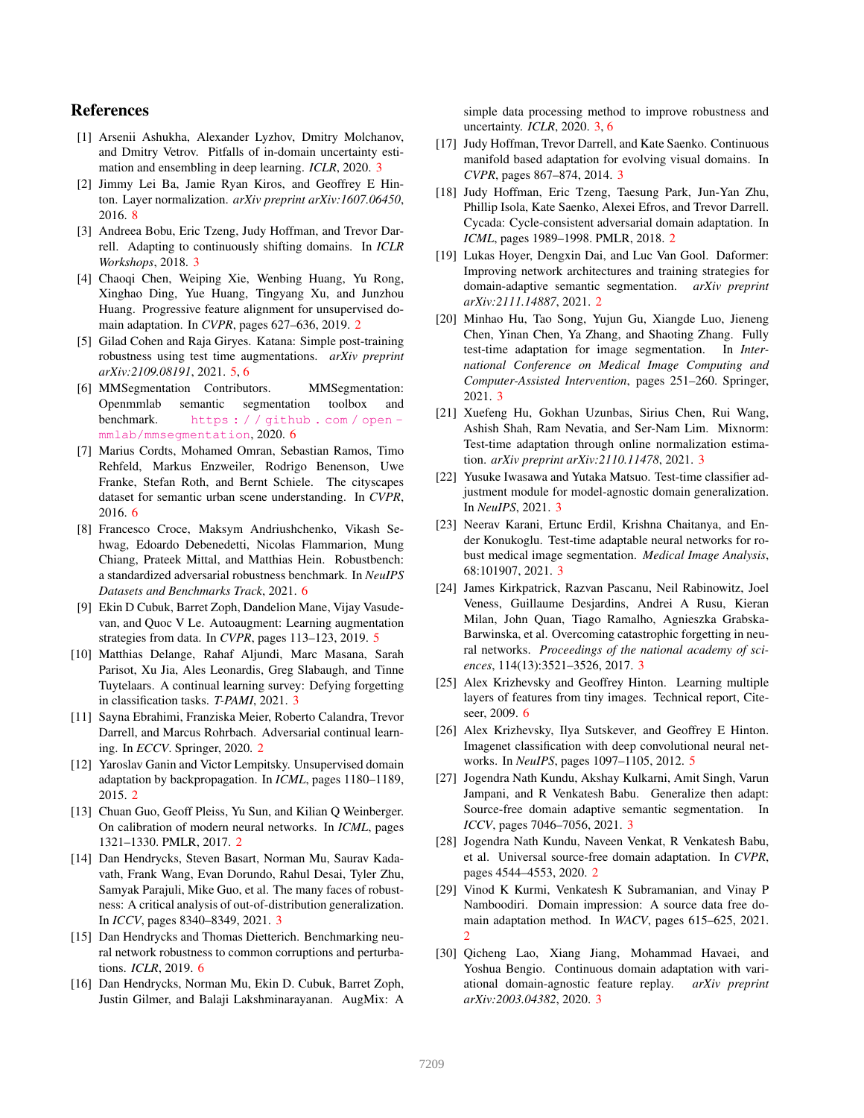### References

- [1] Arsenii Ashukha, Alexander Lyzhov, Dmitry Molchanov, and Dmitry Vetrov. Pitfalls of in-domain uncertainty estimation and ensembling in deep learning. *ICLR*, 2020. 3
- [2] Jimmy Lei Ba, Jamie Ryan Kiros, and Geoffrey E Hinton. Layer normalization. *arXiv preprint arXiv:1607.06450*, 2016. 8
- [3] Andreea Bobu, Eric Tzeng, Judy Hoffman, and Trevor Darrell. Adapting to continuously shifting domains. In *ICLR Workshops*, 2018. 3
- [4] Chaoqi Chen, Weiping Xie, Wenbing Huang, Yu Rong, Xinghao Ding, Yue Huang, Tingyang Xu, and Junzhou Huang. Progressive feature alignment for unsupervised domain adaptation. In *CVPR*, pages 627–636, 2019. 2
- [5] Gilad Cohen and Raja Giryes. Katana: Simple post-training robustness using test time augmentations. *arXiv preprint arXiv:2109.08191*, 2021. 5, 6
- [6] MMSegmentation Contributors. MMSegmentation: Openmmlab semantic segmentation toolbox and benchmark. https : / / github . com / open mmlab/mmsegmentation, 2020. 6
- [7] Marius Cordts, Mohamed Omran, Sebastian Ramos, Timo Rehfeld, Markus Enzweiler, Rodrigo Benenson, Uwe Franke, Stefan Roth, and Bernt Schiele. The cityscapes dataset for semantic urban scene understanding. In *CVPR*, 2016. 6
- [8] Francesco Croce, Maksym Andriushchenko, Vikash Sehwag, Edoardo Debenedetti, Nicolas Flammarion, Mung Chiang, Prateek Mittal, and Matthias Hein. Robustbench: a standardized adversarial robustness benchmark. In *NeuIPS Datasets and Benchmarks Track*, 2021. 6
- [9] Ekin D Cubuk, Barret Zoph, Dandelion Mane, Vijay Vasudevan, and Quoc V Le. Autoaugment: Learning augmentation strategies from data. In *CVPR*, pages 113–123, 2019. 5
- [10] Matthias Delange, Rahaf Aljundi, Marc Masana, Sarah Parisot, Xu Jia, Ales Leonardis, Greg Slabaugh, and Tinne Tuytelaars. A continual learning survey: Defying forgetting in classification tasks. *T-PAMI*, 2021. 3
- [11] Sayna Ebrahimi, Franziska Meier, Roberto Calandra, Trevor Darrell, and Marcus Rohrbach. Adversarial continual learning. In *ECCV*. Springer, 2020. 2
- [12] Yaroslav Ganin and Victor Lempitsky. Unsupervised domain adaptation by backpropagation. In *ICML*, pages 1180–1189, 2015. 2
- [13] Chuan Guo, Geoff Pleiss, Yu Sun, and Kilian Q Weinberger. On calibration of modern neural networks. In *ICML*, pages 1321–1330. PMLR, 2017. 2
- [14] Dan Hendrycks, Steven Basart, Norman Mu, Saurav Kadavath, Frank Wang, Evan Dorundo, Rahul Desai, Tyler Zhu, Samyak Parajuli, Mike Guo, et al. The many faces of robustness: A critical analysis of out-of-distribution generalization. In *ICCV*, pages 8340–8349, 2021. 3
- [15] Dan Hendrycks and Thomas Dietterich. Benchmarking neural network robustness to common corruptions and perturbations. *ICLR*, 2019. 6
- [16] Dan Hendrycks, Norman Mu, Ekin D. Cubuk, Barret Zoph, Justin Gilmer, and Balaji Lakshminarayanan. AugMix: A

simple data processing method to improve robustness and uncertainty. *ICLR*, 2020. 3, 6

- [17] Judy Hoffman, Trevor Darrell, and Kate Saenko. Continuous manifold based adaptation for evolving visual domains. In *CVPR*, pages 867–874, 2014. 3
- [18] Judy Hoffman, Eric Tzeng, Taesung Park, Jun-Yan Zhu, Phillip Isola, Kate Saenko, Alexei Efros, and Trevor Darrell. Cycada: Cycle-consistent adversarial domain adaptation. In *ICML*, pages 1989–1998. PMLR, 2018. 2
- [19] Lukas Hoyer, Dengxin Dai, and Luc Van Gool. Daformer: Improving network architectures and training strategies for domain-adaptive semantic segmentation. *arXiv preprint arXiv:2111.14887*, 2021. 2
- [20] Minhao Hu, Tao Song, Yujun Gu, Xiangde Luo, Jieneng Chen, Yinan Chen, Ya Zhang, and Shaoting Zhang. Fully test-time adaptation for image segmentation. In *International Conference on Medical Image Computing and Computer-Assisted Intervention*, pages 251–260. Springer, 2021. 3
- [21] Xuefeng Hu, Gokhan Uzunbas, Sirius Chen, Rui Wang, Ashish Shah, Ram Nevatia, and Ser-Nam Lim. Mixnorm: Test-time adaptation through online normalization estimation. *arXiv preprint arXiv:2110.11478*, 2021. 3
- [22] Yusuke Iwasawa and Yutaka Matsuo. Test-time classifier adjustment module for model-agnostic domain generalization. In *NeuIPS*, 2021. 3
- [23] Neerav Karani, Ertunc Erdil, Krishna Chaitanya, and Ender Konukoglu. Test-time adaptable neural networks for robust medical image segmentation. *Medical Image Analysis*, 68:101907, 2021. 3
- [24] James Kirkpatrick, Razvan Pascanu, Neil Rabinowitz, Joel Veness, Guillaume Desjardins, Andrei A Rusu, Kieran Milan, John Quan, Tiago Ramalho, Agnieszka Grabska-Barwinska, et al. Overcoming catastrophic forgetting in neural networks. *Proceedings of the national academy of sciences*, 114(13):3521–3526, 2017. 3
- [25] Alex Krizhevsky and Geoffrey Hinton. Learning multiple layers of features from tiny images. Technical report, Citeseer, 2009. 6
- [26] Alex Krizhevsky, Ilya Sutskever, and Geoffrey E Hinton. Imagenet classification with deep convolutional neural networks. In *NeuIPS*, pages 1097–1105, 2012. 5
- [27] Jogendra Nath Kundu, Akshay Kulkarni, Amit Singh, Varun Jampani, and R Venkatesh Babu. Generalize then adapt: Source-free domain adaptive semantic segmentation. In *ICCV*, pages 7046–7056, 2021. 3
- [28] Jogendra Nath Kundu, Naveen Venkat, R Venkatesh Babu, et al. Universal source-free domain adaptation. In *CVPR*, pages 4544–4553, 2020. 2
- [29] Vinod K Kurmi, Venkatesh K Subramanian, and Vinay P Namboodiri. Domain impression: A source data free domain adaptation method. In *WACV*, pages 615–625, 2021.  $\mathfrak{D}$
- [30] Qicheng Lao, Xiang Jiang, Mohammad Havaei, and Yoshua Bengio. Continuous domain adaptation with variational domain-agnostic feature replay. *arXiv preprint arXiv:2003.04382*, 2020. 3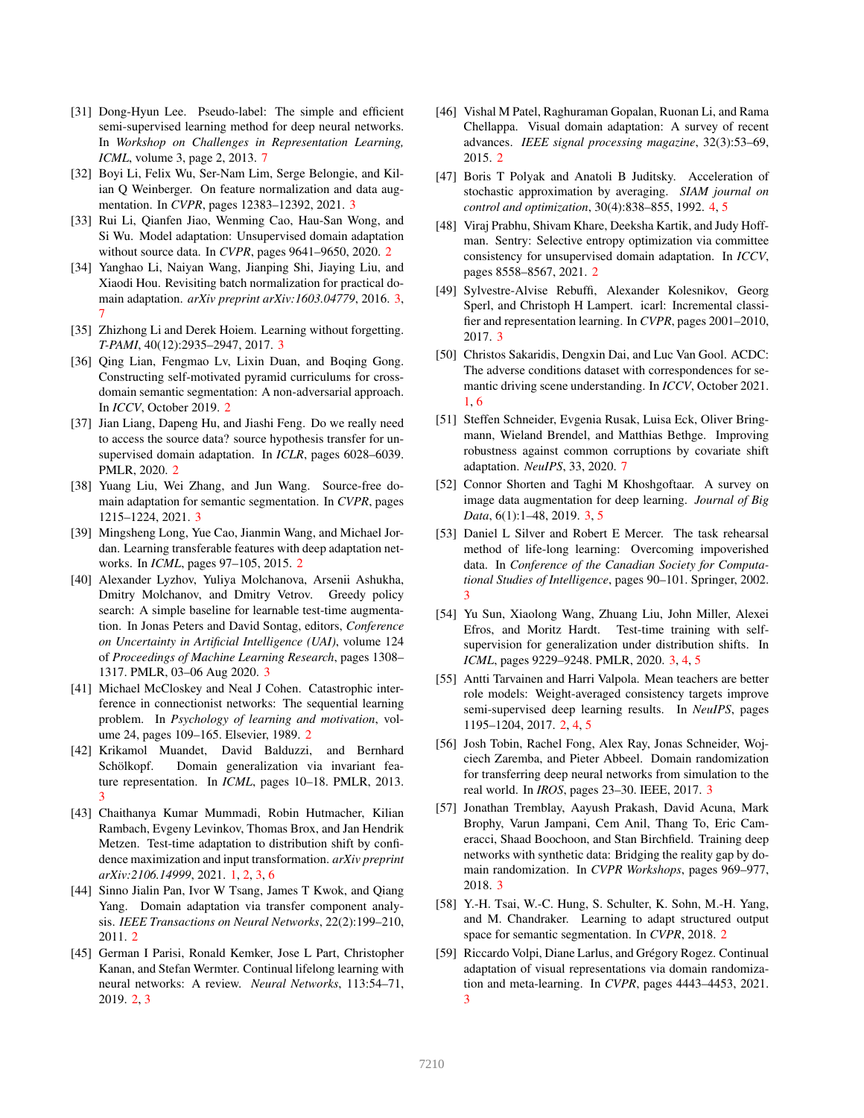- [31] Dong-Hyun Lee. Pseudo-label: The simple and efficient semi-supervised learning method for deep neural networks. In *Workshop on Challenges in Representation Learning, ICML*, volume 3, page 2, 2013. 7
- [32] Boyi Li, Felix Wu, Ser-Nam Lim, Serge Belongie, and Kilian Q Weinberger. On feature normalization and data augmentation. In *CVPR*, pages 12383–12392, 2021. 3
- [33] Rui Li, Qianfen Jiao, Wenming Cao, Hau-San Wong, and Si Wu. Model adaptation: Unsupervised domain adaptation without source data. In *CVPR*, pages 9641–9650, 2020. 2
- [34] Yanghao Li, Naiyan Wang, Jianping Shi, Jiaying Liu, and Xiaodi Hou. Revisiting batch normalization for practical domain adaptation. *arXiv preprint arXiv:1603.04779*, 2016. 3, 7
- [35] Zhizhong Li and Derek Hoiem. Learning without forgetting. *T-PAMI*, 40(12):2935–2947, 2017. 3
- [36] Qing Lian, Fengmao Lv, Lixin Duan, and Boqing Gong. Constructing self-motivated pyramid curriculums for crossdomain semantic segmentation: A non-adversarial approach. In *ICCV*, October 2019. 2
- [37] Jian Liang, Dapeng Hu, and Jiashi Feng. Do we really need to access the source data? source hypothesis transfer for unsupervised domain adaptation. In *ICLR*, pages 6028–6039. PMLR, 2020. 2
- [38] Yuang Liu, Wei Zhang, and Jun Wang. Source-free domain adaptation for semantic segmentation. In *CVPR*, pages 1215–1224, 2021. 3
- [39] Mingsheng Long, Yue Cao, Jianmin Wang, and Michael Jordan. Learning transferable features with deep adaptation networks. In *ICML*, pages 97–105, 2015. 2
- [40] Alexander Lyzhov, Yuliya Molchanova, Arsenii Ashukha, Dmitry Molchanov, and Dmitry Vetrov. Greedy policy search: A simple baseline for learnable test-time augmentation. In Jonas Peters and David Sontag, editors, *Conference on Uncertainty in Artificial Intelligence (UAI)*, volume 124 of *Proceedings of Machine Learning Research*, pages 1308– 1317. PMLR, 03–06 Aug 2020. 3
- [41] Michael McCloskey and Neal J Cohen. Catastrophic interference in connectionist networks: The sequential learning problem. In *Psychology of learning and motivation*, volume 24, pages 109–165. Elsevier, 1989. 2
- [42] Krikamol Muandet, David Balduzzi, and Bernhard Schölkopf. Domain generalization via invariant feature representation. In *ICML*, pages 10–18. PMLR, 2013. 3
- [43] Chaithanya Kumar Mummadi, Robin Hutmacher, Kilian Rambach, Evgeny Levinkov, Thomas Brox, and Jan Hendrik Metzen. Test-time adaptation to distribution shift by confidence maximization and input transformation. *arXiv preprint arXiv:2106.14999*, 2021. 1, 2, 3, 6
- [44] Sinno Jialin Pan, Ivor W Tsang, James T Kwok, and Qiang Yang. Domain adaptation via transfer component analysis. *IEEE Transactions on Neural Networks*, 22(2):199–210, 2011. 2
- [45] German I Parisi, Ronald Kemker, Jose L Part, Christopher Kanan, and Stefan Wermter. Continual lifelong learning with neural networks: A review. *Neural Networks*, 113:54–71, 2019. 2, 3
- [46] Vishal M Patel, Raghuraman Gopalan, Ruonan Li, and Rama Chellappa. Visual domain adaptation: A survey of recent advances. *IEEE signal processing magazine*, 32(3):53–69, 2015. 2
- [47] Boris T Polyak and Anatoli B Juditsky. Acceleration of stochastic approximation by averaging. *SIAM journal on control and optimization*, 30(4):838–855, 1992. 4, 5
- [48] Viraj Prabhu, Shivam Khare, Deeksha Kartik, and Judy Hoffman. Sentry: Selective entropy optimization via committee consistency for unsupervised domain adaptation. In *ICCV*, pages 8558–8567, 2021. 2
- [49] Sylvestre-Alvise Rebuffi, Alexander Kolesnikov, Georg Sperl, and Christoph H Lampert. icarl: Incremental classifier and representation learning. In *CVPR*, pages 2001–2010, 2017. 3
- [50] Christos Sakaridis, Dengxin Dai, and Luc Van Gool. ACDC: The adverse conditions dataset with correspondences for semantic driving scene understanding. In *ICCV*, October 2021. 1, 6
- [51] Steffen Schneider, Evgenia Rusak, Luisa Eck, Oliver Bringmann, Wieland Brendel, and Matthias Bethge. Improving robustness against common corruptions by covariate shift adaptation. *NeuIPS*, 33, 2020. 7
- [52] Connor Shorten and Taghi M Khoshgoftaar. A survey on image data augmentation for deep learning. *Journal of Big Data*, 6(1):1–48, 2019. 3, 5
- [53] Daniel L Silver and Robert E Mercer. The task rehearsal method of life-long learning: Overcoming impoverished data. In *Conference of the Canadian Society for Computational Studies of Intelligence*, pages 90–101. Springer, 2002. 3
- [54] Yu Sun, Xiaolong Wang, Zhuang Liu, John Miller, Alexei Efros, and Moritz Hardt. Test-time training with selfsupervision for generalization under distribution shifts. In *ICML*, pages 9229–9248. PMLR, 2020. 3, 4, 5
- [55] Antti Tarvainen and Harri Valpola. Mean teachers are better role models: Weight-averaged consistency targets improve semi-supervised deep learning results. In *NeuIPS*, pages 1195–1204, 2017. 2, 4, 5
- [56] Josh Tobin, Rachel Fong, Alex Ray, Jonas Schneider, Wojciech Zaremba, and Pieter Abbeel. Domain randomization for transferring deep neural networks from simulation to the real world. In *IROS*, pages 23–30. IEEE, 2017. 3
- [57] Jonathan Tremblay, Aayush Prakash, David Acuna, Mark Brophy, Varun Jampani, Cem Anil, Thang To, Eric Cameracci, Shaad Boochoon, and Stan Birchfield. Training deep networks with synthetic data: Bridging the reality gap by domain randomization. In *CVPR Workshops*, pages 969–977, 2018. 3
- [58] Y.-H. Tsai, W.-C. Hung, S. Schulter, K. Sohn, M.-H. Yang, and M. Chandraker. Learning to adapt structured output space for semantic segmentation. In *CVPR*, 2018. 2
- [59] Riccardo Volpi, Diane Larlus, and Grégory Rogez. Continual adaptation of visual representations via domain randomization and meta-learning. In *CVPR*, pages 4443–4453, 2021. 3